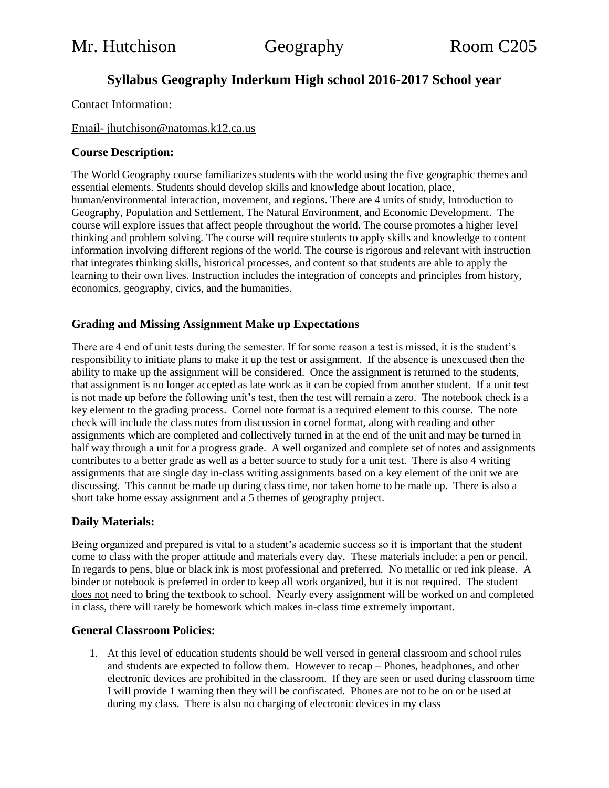# **Syllabus Geography Inderkum High school 2016-2017 School year**

#### Contact Information:

## Email- jhutchison@natomas.k12.ca.us

#### **Course Description:**

The World Geography course familiarizes students with the world using the five geographic themes and essential elements. Students should develop skills and knowledge about location, place, human/environmental interaction, movement, and regions. There are 4 units of study, Introduction to Geography, Population and Settlement, The Natural Environment, and Economic Development. The course will explore issues that affect people throughout the world. The course promotes a higher level thinking and problem solving. The course will require students to apply skills and knowledge to content information involving different regions of the world. The course is rigorous and relevant with instruction that integrates thinking skills, historical processes, and content so that students are able to apply the learning to their own lives. Instruction includes the integration of concepts and principles from history, economics, geography, civics, and the humanities.

#### **Grading and Missing Assignment Make up Expectations**

There are 4 end of unit tests during the semester. If for some reason a test is missed, it is the student's responsibility to initiate plans to make it up the test or assignment. If the absence is unexcused then the ability to make up the assignment will be considered. Once the assignment is returned to the students, that assignment is no longer accepted as late work as it can be copied from another student. If a unit test is not made up before the following unit's test, then the test will remain a zero. The notebook check is a key element to the grading process. Cornel note format is a required element to this course. The note check will include the class notes from discussion in cornel format, along with reading and other assignments which are completed and collectively turned in at the end of the unit and may be turned in half way through a unit for a progress grade. A well organized and complete set of notes and assignments contributes to a better grade as well as a better source to study for a unit test. There is also 4 writing assignments that are single day in-class writing assignments based on a key element of the unit we are discussing. This cannot be made up during class time, nor taken home to be made up. There is also a short take home essay assignment and a 5 themes of geography project.

#### **Daily Materials:**

Being organized and prepared is vital to a student's academic success so it is important that the student come to class with the proper attitude and materials every day. These materials include: a pen or pencil. In regards to pens, blue or black ink is most professional and preferred. No metallic or red ink please. A binder or notebook is preferred in order to keep all work organized, but it is not required. The student does not need to bring the textbook to school. Nearly every assignment will be worked on and completed in class, there will rarely be homework which makes in-class time extremely important.

#### **General Classroom Policies:**

1. At this level of education students should be well versed in general classroom and school rules and students are expected to follow them. However to recap – Phones, headphones, and other electronic devices are prohibited in the classroom. If they are seen or used during classroom time I will provide 1 warning then they will be confiscated. Phones are not to be on or be used at during my class. There is also no charging of electronic devices in my class